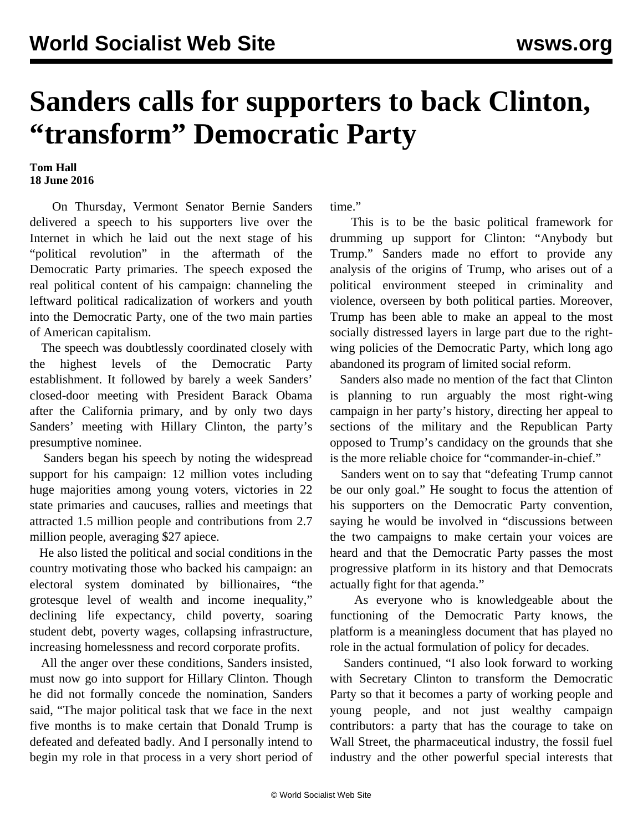## **Sanders calls for supporters to back Clinton, "transform" Democratic Party**

## **Tom Hall 18 June 2016**

 On Thursday, Vermont Senator Bernie Sanders delivered a speech to his supporters live over the Internet in which he laid out the next stage of his "political revolution" in the aftermath of the Democratic Party primaries. The speech exposed the real political content of his campaign: channeling the leftward political radicalization of workers and youth into the Democratic Party, one of the two main parties of American capitalism.

 The speech was doubtlessly coordinated closely with the highest levels of the Democratic Party establishment. It followed by barely a week Sanders' closed-door meeting with President Barack Obama after the California primary, and by only two days Sanders' meeting with Hillary Clinton, the party's presumptive nominee.

 Sanders began his speech by noting the widespread support for his campaign: 12 million votes including huge majorities among young voters, victories in 22 state primaries and caucuses, rallies and meetings that attracted 1.5 million people and contributions from 2.7 million people, averaging \$27 apiece.

 He also listed the political and social conditions in the country motivating those who backed his campaign: an electoral system dominated by billionaires, "the grotesque level of wealth and income inequality," declining life expectancy, child poverty, soaring student debt, poverty wages, collapsing infrastructure, increasing homelessness and record corporate profits.

 All the anger over these conditions, Sanders insisted, must now go into support for Hillary Clinton. Though he did not formally concede the nomination, Sanders said, "The major political task that we face in the next five months is to make certain that Donald Trump is defeated and defeated badly. And I personally intend to begin my role in that process in a very short period of time."

 This is to be the basic political framework for drumming up support for Clinton: "Anybody but Trump." Sanders made no effort to provide any analysis of the origins of Trump, who arises out of a political environment steeped in criminality and violence, overseen by both political parties. Moreover, Trump has been able to make an appeal to the most socially distressed layers in large part due to the rightwing policies of the Democratic Party, which long ago abandoned its program of limited social reform.

 Sanders also made no mention of the fact that Clinton is planning to run arguably the most right-wing campaign in her party's history, directing her appeal to sections of the military and the Republican Party opposed to Trump's candidacy on the grounds that she is the more reliable choice for "commander-in-chief."

 Sanders went on to say that "defeating Trump cannot be our only goal." He sought to focus the attention of his supporters on the Democratic Party convention, saying he would be involved in "discussions between the two campaigns to make certain your voices are heard and that the Democratic Party passes the most progressive platform in its history and that Democrats actually fight for that agenda."

 As everyone who is knowledgeable about the functioning of the Democratic Party knows, the platform is a meaningless document that has played no role in the actual formulation of policy for decades.

 Sanders continued, "I also look forward to working with Secretary Clinton to transform the Democratic Party so that it becomes a party of working people and young people, and not just wealthy campaign contributors: a party that has the courage to take on Wall Street, the pharmaceutical industry, the fossil fuel industry and the other powerful special interests that